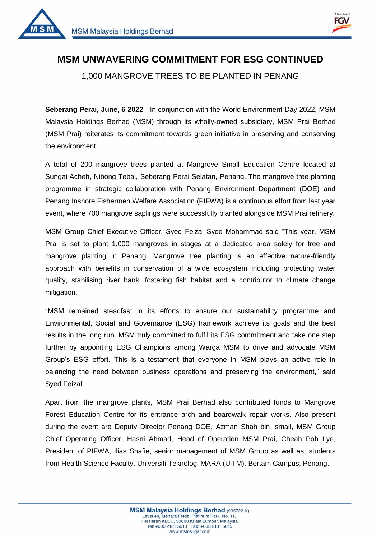



1

## **MSM UNWAVERING COMMITMENT FOR ESG CONTINUED**  1,000 MANGROVE TREES TO BE PLANTED IN PENANG

**Seberang Perai, June, 6 2022** - In conjunction with the World Environment Day 2022, MSM Malaysia Holdings Berhad (MSM) through its wholly-owned subsidiary, MSM Prai Berhad (MSM Prai) reiterates its commitment towards green initiative in preserving and conserving the environment.

A total of 200 mangrove trees planted at Mangrove Small Education Centre located at Sungai Acheh, Nibong Tebal, Seberang Perai Selatan, Penang. The mangrove tree planting programme in strategic collaboration with Penang Environment Department (DOE) and Penang Inshore Fishermen Welfare Association (PIFWA) is a continuous effort from last year event, where 700 mangrove saplings were successfully planted alongside MSM Prai refinery.

MSM Group Chief Executive Officer, Syed Feizal Syed Mohammad said "This year, MSM Prai is set to plant 1,000 mangroves in stages at a dedicated area solely for tree and mangrove planting in Penang. Mangrove tree planting is an effective nature-friendly approach with benefits in conservation of a wide ecosystem including protecting water quality, stabilising river bank, fostering fish habitat and a contributor to climate change mitigation."

"MSM remained steadfast in its efforts to ensure our sustainability programme and Environmental, Social and Governance (ESG) framework achieve its goals and the best results in the long run. MSM truly committed to fulfil its ESG commitment and take one step further by appointing ESG Champions among Warga MSM to drive and advocate MSM Group's ESG effort. This is a testament that everyone in MSM plays an active role in balancing the need between business operations and preserving the environment," said Syed Feizal.

Apart from the mangrove plants, MSM Prai Berhad also contributed funds to Mangrove Forest Education Centre for its entrance arch and boardwalk repair works. Also present during the event are Deputy Director Penang DOE, Azman Shah bin Ismail, MSM Group Chief Operating Officer, Hasni Ahmad, Head of Operation MSM Prai, Cheah Poh Lye, President of PIFWA, Ilias Shafie, senior management of MSM Group as well as, students from Health Science Faculty, Universiti Teknologi MARA (UiTM), Bertam Campus, Penang.